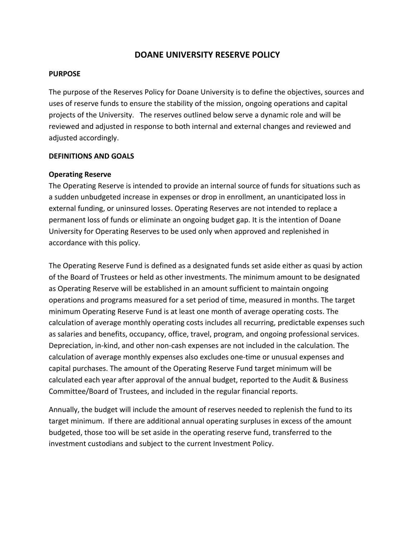# **DOANE UNIVERSITY RESERVE POLICY**

#### **PURPOSE**

The purpose of the Reserves Policy for Doane University is to define the objectives, sources and uses of reserve funds to ensure the stability of the mission, ongoing operations and capital projects of the University. The reserves outlined below serve a dynamic role and will be reviewed and adjusted in response to both internal and external changes and reviewed and adjusted accordingly.

#### **DEFINITIONS AND GOALS**

#### **Operating Reserve**

The Operating Reserve is intended to provide an internal source of funds for situations such as a sudden unbudgeted increase in expenses or drop in enrollment, an unanticipated loss in external funding, or uninsured losses. Operating Reserves are not intended to replace a permanent loss of funds or eliminate an ongoing budget gap. It is the intention of Doane University for Operating Reserves to be used only when approved and replenished in accordance with this policy.

The Operating Reserve Fund is defined as a designated funds set aside either as quasi by action of the Board of Trustees or held as other investments. The minimum amount to be designated as Operating Reserve will be established in an amount sufficient to maintain ongoing operations and programs measured for a set period of time, measured in months. The target minimum Operating Reserve Fund is at least one month of average operating costs. The calculation of average monthly operating costs includes all recurring, predictable expenses such as salaries and benefits, occupancy, office, travel, program, and ongoing professional services. Depreciation, in-kind, and other non-cash expenses are not included in the calculation. The calculation of average monthly expenses also excludes one-time or unusual expenses and capital purchases. The amount of the Operating Reserve Fund target minimum will be calculated each year after approval of the annual budget, reported to the Audit & Business Committee/Board of Trustees, and included in the regular financial reports.

Annually, the budget will include the amount of reserves needed to replenish the fund to its target minimum. If there are additional annual operating surpluses in excess of the amount budgeted, those too will be set aside in the operating reserve fund, transferred to the investment custodians and subject to the current Investment Policy.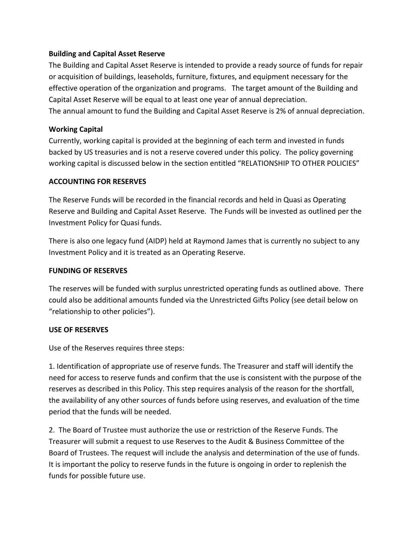# **Building and Capital Asset Reserve**

The Building and Capital Asset Reserve is intended to provide a ready source of funds for repair or acquisition of buildings, leaseholds, furniture, fixtures, and equipment necessary for the effective operation of the organization and programs. The target amount of the Building and Capital Asset Reserve will be equal to at least one year of annual depreciation. The annual amount to fund the Building and Capital Asset Reserve is 2% of annual depreciation.

## **Working Capital**

Currently, working capital is provided at the beginning of each term and invested in funds backed by US treasuries and is not a reserve covered under this policy. The policy governing working capital is discussed below in the section entitled "RELATIONSHIP TO OTHER POLICIES"

### **ACCOUNTING FOR RESERVES**

The Reserve Funds will be recorded in the financial records and held in Quasi as Operating Reserve and Building and Capital Asset Reserve. The Funds will be invested as outlined per the Investment Policy for Quasi funds.

There is also one legacy fund (AIDP) held at Raymond James that is currently no subject to any Investment Policy and it is treated as an Operating Reserve.

## **FUNDING OF RESERVES**

The reserves will be funded with surplus unrestricted operating funds as outlined above. There could also be additional amounts funded via the Unrestricted Gifts Policy (see detail below on "relationship to other policies").

### **USE OF RESERVES**

Use of the Reserves requires three steps:

1. Identification of appropriate use of reserve funds. The Treasurer and staff will identify the need for access to reserve funds and confirm that the use is consistent with the purpose of the reserves as described in this Policy. This step requires analysis of the reason for the shortfall, the availability of any other sources of funds before using reserves, and evaluation of the time period that the funds will be needed.

2. The Board of Trustee must authorize the use or restriction of the Reserve Funds. The Treasurer will submit a request to use Reserves to the Audit & Business Committee of the Board of Trustees. The request will include the analysis and determination of the use of funds. It is important the policy to reserve funds in the future is ongoing in order to replenish the funds for possible future use.